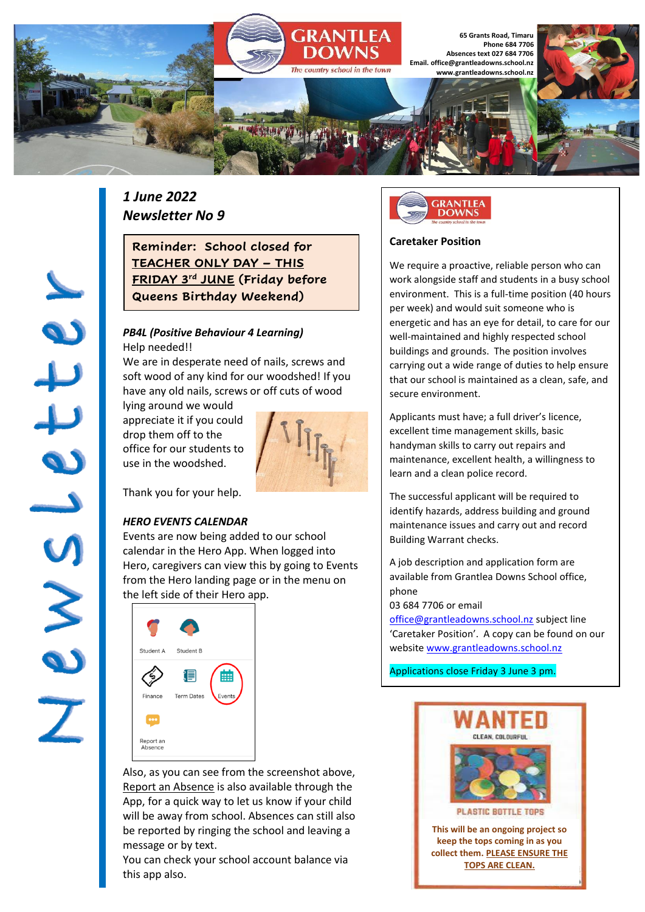

# *1 June 2022 Newsletter No 9*

**Reminder: School closed for TEACHER ONLY DAY – THIS FRIDAY 3rd JUNE (Friday before Queens Birthday Weekend)**

### *PB4L (Positive Behaviour 4 Learning)* Help needed!!

We are in desperate need of nails, screws and soft wood of any kind for our woodshed! If you have any old nails, screws or off cuts of wood

lying around we would appreciate it if you could drop them off to the office for our students to use in the woodshed.



Thank you for your help.

## *HERO EVENTS CALENDAR*

Jewslette

Events are now being added to our school calendar in the Hero App. When logged into Hero, caregivers can view this by going to Events from the Hero landing page or in the menu on the left side of their Hero app.



Also, as you can see from the screenshot above, Report an Absence is also available through the App, for a quick way to let us know if your child will be away from school. Absences can still also be reported by ringing the school and leaving a message or by text.

You can check your school account balance via this app also.



## **Caretaker Position**

We require a proactive, reliable person who can work alongside staff and students in a busy school environment. This is a full-time position (40 hours per week) and would suit someone who is energetic and has an eye for detail, to care for our well-maintained and highly respected school buildings and grounds. The position involves carrying out a wide range of duties to help ensure that our school is maintained as a clean, safe, and secure environment.

Applicants must have; a full driver's licence, excellent time management skills, basic handyman skills to carry out repairs and maintenance, excellent health, a willingness to learn and a clean police record.

The successful applicant will be required to identify hazards, address building and ground maintenance issues and carry out and record Building Warrant checks.

A job description and application form are available from Grantlea Downs School office, phone

### 03 684 7706 or email

[office@grantleadowns.school.nz](mailto:office@grantleadowns.school.nz) subject line 'Caretaker Position'. A copy can be found on our website [www.grantleadowns.school.nz](http://www.grantleadowns.school.nz/)

Applications close Friday 3 June 3 pm.

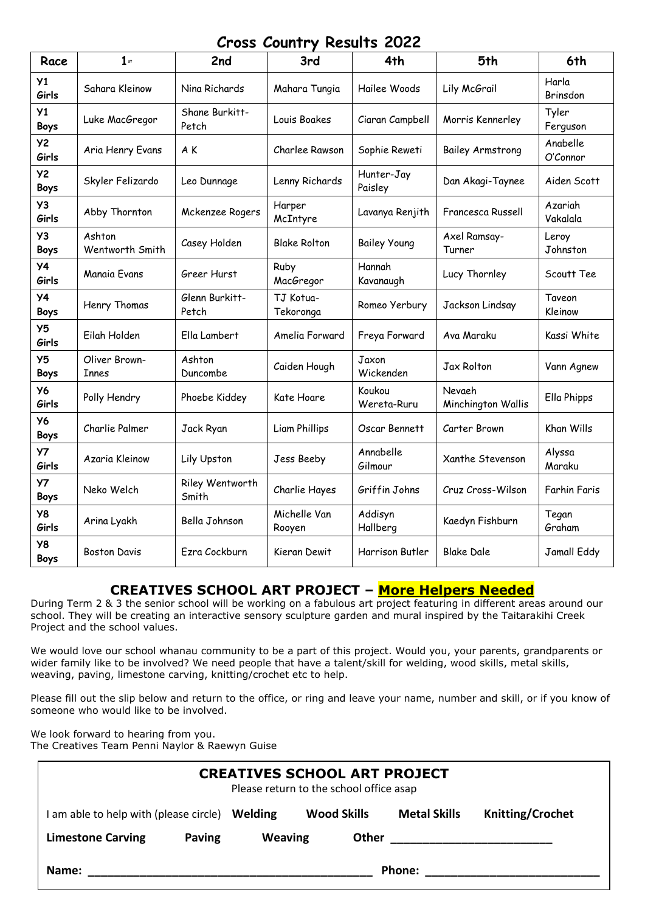# **Cross Country Results 2022**

| Race                          | $1$ st                        | 2nd                      | 3rd                    | 4th                   | 5th                          | 6th                  |
|-------------------------------|-------------------------------|--------------------------|------------------------|-----------------------|------------------------------|----------------------|
| Y1<br>Girls                   | Sahara Kleinow                | Nina Richards            | Mahara Tungia          | Hailee Woods          | Lily McGrail                 | Harla<br>Brinsdon    |
| Y <sub>1</sub><br><b>Boys</b> | Luke MacGregor                | Shane Burkitt-<br>Petch  | Louis Boakes           | Ciaran Campbell       | Morris Kennerley             | Tyler<br>Ferguson    |
| <b>Y2</b><br>Girls            | Aria Henry Evans              | A K                      | Charlee Rawson         | Sophie Reweti         | <b>Bailey Armstrong</b>      | Anabelle<br>O'Connor |
| <b>Y2</b><br><b>Boys</b>      | Skyler Felizardo              | Leo Dunnage              | Lenny Richards         | Hunter-Jay<br>Paisley | Dan Akagi-Taynee             | Aiden Scott          |
| Y3<br>Girls                   | Abby Thornton                 | Mckenzee Rogers          | Harper<br>McIntyre     | Lavanya Renjith       | Francesca Russell            | Azariah<br>Vakalala  |
| Y3<br><b>Boys</b>             | Ashton<br>Wentworth Smith     | Casey Holden             | <b>Blake Rolton</b>    | <b>Bailey Young</b>   | Axel Ramsay-<br>Turner       | Leroy<br>Johnston    |
| <b>Y4</b><br>Girls            | Manaia Evans                  | Greer Hurst              | Ruby<br>MacGregor      | Hannah<br>Kavanaugh   | Lucy Thornley                | Scoutt Tee           |
| <b>Y4</b><br><b>Boys</b>      | Henry Thomas                  | Glenn Burkitt-<br>Petch  | TJ Kotua-<br>Tekoronga | Romeo Yerbury         | Jackson Lindsay              | Taveon<br>Kleinow    |
| Y <sub>5</sub><br>Girls       | Eilah Holden                  | Ella Lambert             | Amelia Forward         | Freya Forward         | Ava Maraku                   | Kassi White          |
| Y <sub>5</sub><br><b>Boys</b> | Oliver Brown-<br><b>Innes</b> | Ashton<br>Duncombe       | Caiden Hough           | Jaxon<br>Wickenden    | Jax Rolton                   | Vann Agnew           |
| <b>Y6</b><br>Girls            | Polly Hendry                  | Phoebe Kiddey            | Kate Hoare             | Koukou<br>Wereta-Ruru | Nevaeh<br>Minchington Wallis | Ella Phipps          |
| <b>Y6</b><br>Boys             | Charlie Palmer                | Jack Ryan                | Liam Phillips          | Oscar Bennett         | Carter Brown                 | Khan Wills           |
| <b>Y7</b><br>Girls            | Azaria Kleinow                | Lily Upston              | Jess Beeby             | Annabelle<br>Gilmour  | Xanthe Stevenson             | Alyssa<br>Maraku     |
| <b>Y7</b><br>Boys             | Neko Welch                    | Riley Wentworth<br>Smith | Charlie Hayes          | Griffin Johns         | Cruz Cross-Wilson            | <b>Farhin Faris</b>  |
| Y8<br>Girls                   | Arina Lyakh                   | Bella Johnson            | Michelle Van<br>Rooyen | Addisyn<br>Hallberg   | Kaedyn Fishburn              | Tegan<br>Graham      |
| Y8<br><b>Boys</b>             | <b>Boston Davis</b>           | Ezra Cockburn            | Kieran Dewit           | Harrison Butler       | <b>Blake Dale</b>            | Jamall Eddy          |

# **CREATIVES SCHOOL ART PROJECT – More Helpers Needed**

During Term 2 & 3 the senior school will be working on a fabulous art project featuring in different areas around our school. They will be creating an interactive sensory sculpture garden and mural inspired by the Taitarakihi Creek Project and the school values.

We would love our school whanau community to be a part of this project. Would you, your parents, grandparents or wider family like to be involved? We need people that have a talent/skill for welding, wood skills, metal skills, weaving, paving, limestone carving, knitting/crochet etc to help.

Please fill out the slip below and return to the office, or ring and leave your name, number and skill, or if you know of someone who would like to be involved.

We look forward to hearing from you. The Creatives Team Penni Naylor & Raewyn Guise

| <b>CREATIVES SCHOOL ART PROJECT</b><br>Please return to the school office asap |        |                |                    |                     |                         |  |  |  |  |  |
|--------------------------------------------------------------------------------|--------|----------------|--------------------|---------------------|-------------------------|--|--|--|--|--|
| am able to help with (please circle) Welding                                   |        |                | <b>Wood Skills</b> | <b>Metal Skills</b> | <b>Knitting/Crochet</b> |  |  |  |  |  |
| <b>Limestone Carving</b>                                                       | Paving | <b>Weaving</b> | Other              |                     |                         |  |  |  |  |  |
| Phone:<br>Name:                                                                |        |                |                    |                     |                         |  |  |  |  |  |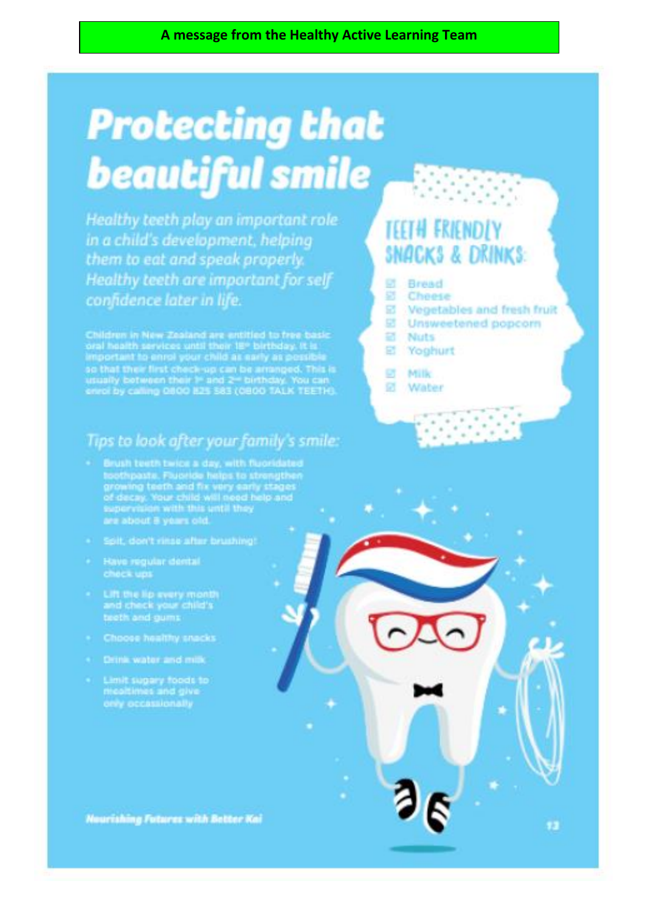# **Protecting that beautiful smile**

Healthy teeth play an important role in a child's development, helping them to eat and speak properly. Healthy teeth are important for self confidence later in life.

Children in New Zealand are entitled to tree basic<br>oral health services until their IE\* birthday. It is<br>important to enrol your child as early as possible<br>so that their first check-up can be arranged. This is<br>usually botw

# Tips to look after your family s smile:

- teothpasts. Fueride helps to strengthen<br>growing teeth and fix very early stages<br>of decay. Your child will need help and<br>supervision with this until they<br>are about 8 years old.
- Spit, don't rinse after brushing!
- Have regular dental check ups
- Lift the lip every month treth and gums
- 
- . Drink water and milk
- Limit sugary foods to only occassionally

# **TEETH FRIENDLY** SNACKS & DRINKS:

 $\sim$ 

- 덠 Bread
- Cheese 蘏

 $\lambda$  $\sim$ 

- 図 Vegetables and fresh fruit
- 멻 Unsweetened popcorn
- 똅 **Nuts**
- £. Yoghurt
- 望 Milk
- ø Water

**Nourishing Futures with Better Kai**